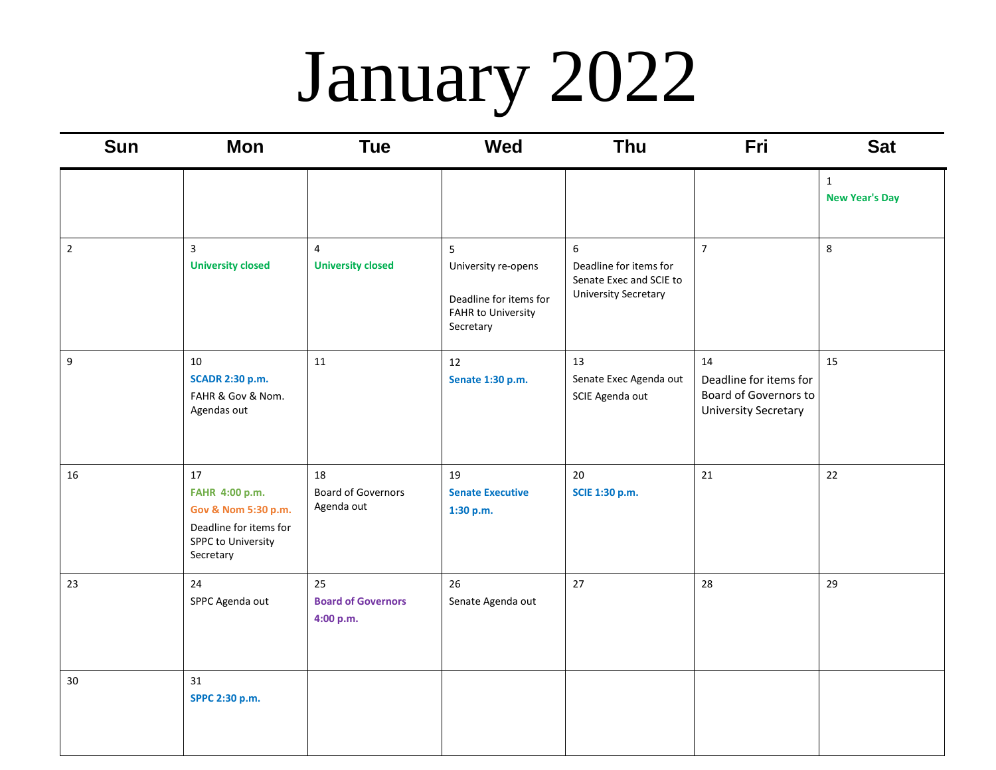# January 2022

| <b>Sun</b>  | <b>Mon</b>                                                                                                      | <b>Tue</b>                                    | <b>Wed</b>                                                                                   | Thu                                                                                   | Fri                                                                                  | <b>Sat</b>                            |
|-------------|-----------------------------------------------------------------------------------------------------------------|-----------------------------------------------|----------------------------------------------------------------------------------------------|---------------------------------------------------------------------------------------|--------------------------------------------------------------------------------------|---------------------------------------|
|             |                                                                                                                 |                                               |                                                                                              |                                                                                       |                                                                                      | $\mathbf{1}$<br><b>New Year's Day</b> |
| $\mathbf 2$ | $\overline{3}$<br><b>University closed</b>                                                                      | $\overline{4}$<br><b>University closed</b>    | 5<br>University re-opens<br>Deadline for items for<br><b>FAHR to University</b><br>Secretary | 6<br>Deadline for items for<br>Senate Exec and SCIE to<br><b>University Secretary</b> | $\overline{7}$                                                                       | $\,8\,$                               |
| 9           | 10<br><b>SCADR 2:30 p.m.</b><br>FAHR & Gov & Nom.<br>Agendas out                                                | 11                                            | 12<br>Senate 1:30 p.m.                                                                       | 13<br>Senate Exec Agenda out<br>SCIE Agenda out                                       | 14<br>Deadline for items for<br>Board of Governors to<br><b>University Secretary</b> | 15                                    |
| 16          | 17<br>FAHR 4:00 p.m.<br>Gov & Nom 5:30 p.m.<br>Deadline for items for<br><b>SPPC to University</b><br>Secretary | 18<br><b>Board of Governors</b><br>Agenda out | 19<br><b>Senate Executive</b><br>1:30 p.m.                                                   | 20<br><b>SCIE 1:30 p.m.</b>                                                           | 21                                                                                   | 22                                    |
| 23          | 24<br>SPPC Agenda out                                                                                           | 25<br><b>Board of Governors</b><br>4:00 p.m.  | 26<br>Senate Agenda out                                                                      | 27                                                                                    | 28                                                                                   | 29                                    |
| 30          | 31<br>SPPC 2:30 p.m.                                                                                            |                                               |                                                                                              |                                                                                       |                                                                                      |                                       |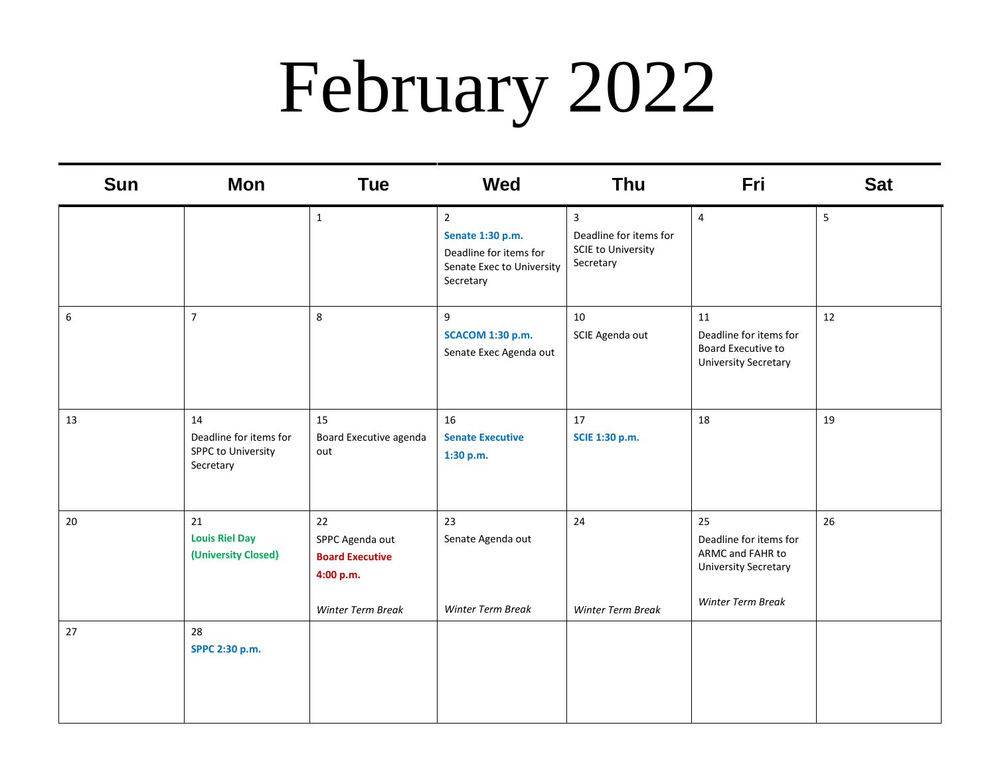# February 2022

| <b>Sun</b> | <b>Mon</b>                                                      | <b>Tue</b>                                                                        | Wed                                                                                                    | <b>Thu</b>                                                                                  | Fri                                                                                                  | <b>Sat</b> |
|------------|-----------------------------------------------------------------|-----------------------------------------------------------------------------------|--------------------------------------------------------------------------------------------------------|---------------------------------------------------------------------------------------------|------------------------------------------------------------------------------------------------------|------------|
|            |                                                                 | $\mathbf{1}$                                                                      | $\overline{2}$<br>Senate 1:30 p.m.<br>Deadline for items for<br>Senate Exec to University<br>Secretary | $\overline{\mathbf{3}}$<br>Deadline for items for<br><b>SCIE to University</b><br>Secretary | 4                                                                                                    | 5          |
| 6          | $\overline{7}$                                                  | 8                                                                                 | 9<br><b>SCACOM 1:30 p.m.</b><br>Senate Exec Agenda out                                                 | 10<br>SCIE Agenda out                                                                       | 11<br>Deadline for items for<br>Board Executive to<br><b>University Secretary</b>                    | 12         |
| 13         | 14<br>Deadline for items for<br>SPPC to University<br>Secretary | 15<br>Board Executive agenda<br>out                                               | 16<br><b>Senate Executive</b><br>1:30 p.m.                                                             | 17<br>SCIE 1:30 p.m.                                                                        | 18                                                                                                   | 19         |
| 20         | 21<br><b>Louis Riel Day</b><br>(University Closed)              | 22<br>SPPC Agenda out<br><b>Board Executive</b><br>4:00 p.m.<br>Winter Term Break | 23<br>Senate Agenda out<br><b>Winter Term Break</b>                                                    | 24<br>Winter Term Break                                                                     | 25<br>Deadline for items for<br>ARMC and FAHR to<br><b>University Secretary</b><br>Winter Term Break | 26         |
| 27         | 28<br>SPPC 2:30 p.m.                                            |                                                                                   |                                                                                                        |                                                                                             |                                                                                                      |            |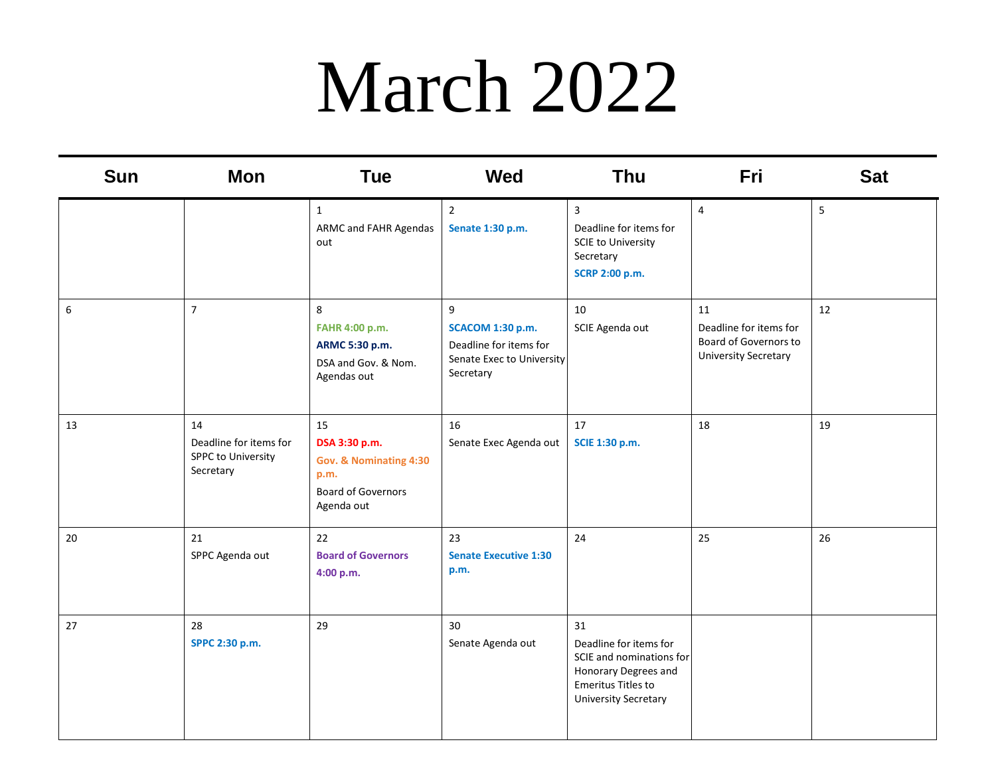### March 2022

| <b>Sun</b> | Mon                                                             | <b>Tue</b>                                                                                       | <b>Wed</b>                                                                                | <b>Thu</b>                                                                                                                            | Fri                                                                                  | <b>Sat</b> |
|------------|-----------------------------------------------------------------|--------------------------------------------------------------------------------------------------|-------------------------------------------------------------------------------------------|---------------------------------------------------------------------------------------------------------------------------------------|--------------------------------------------------------------------------------------|------------|
|            |                                                                 | $\mathbf{1}$<br>ARMC and FAHR Agendas<br>out                                                     | $\overline{2}$<br>Senate 1:30 p.m.                                                        | $\overline{3}$<br>Deadline for items for<br><b>SCIE to University</b><br>Secretary<br>SCRP 2:00 p.m.                                  | $\overline{4}$                                                                       | 5          |
| 6          | $\overline{7}$                                                  | 8<br>FAHR 4:00 p.m.<br>ARMC 5:30 p.m.<br>DSA and Gov. & Nom.<br>Agendas out                      | 9<br>SCACOM 1:30 p.m.<br>Deadline for items for<br>Senate Exec to University<br>Secretary | 10<br>SCIE Agenda out                                                                                                                 | 11<br>Deadline for items for<br>Board of Governors to<br><b>University Secretary</b> | 12         |
| 13         | 14<br>Deadline for items for<br>SPPC to University<br>Secretary | 15<br>DSA 3:30 p.m.<br>Gov. & Nominating 4:30<br>p.m.<br><b>Board of Governors</b><br>Agenda out | 16<br>Senate Exec Agenda out                                                              | 17<br><b>SCIE 1:30 p.m.</b>                                                                                                           | 18                                                                                   | 19         |
| 20         | 21<br>SPPC Agenda out                                           | 22<br><b>Board of Governors</b><br>4:00 p.m.                                                     | 23<br><b>Senate Executive 1:30</b><br>p.m.                                                | 24                                                                                                                                    | 25                                                                                   | 26         |
| 27         | 28<br>SPPC 2:30 p.m.                                            | 29                                                                                               | 30<br>Senate Agenda out                                                                   | 31<br>Deadline for items for<br>SCIE and nominations for<br>Honorary Degrees and<br>Emeritus Titles to<br><b>University Secretary</b> |                                                                                      |            |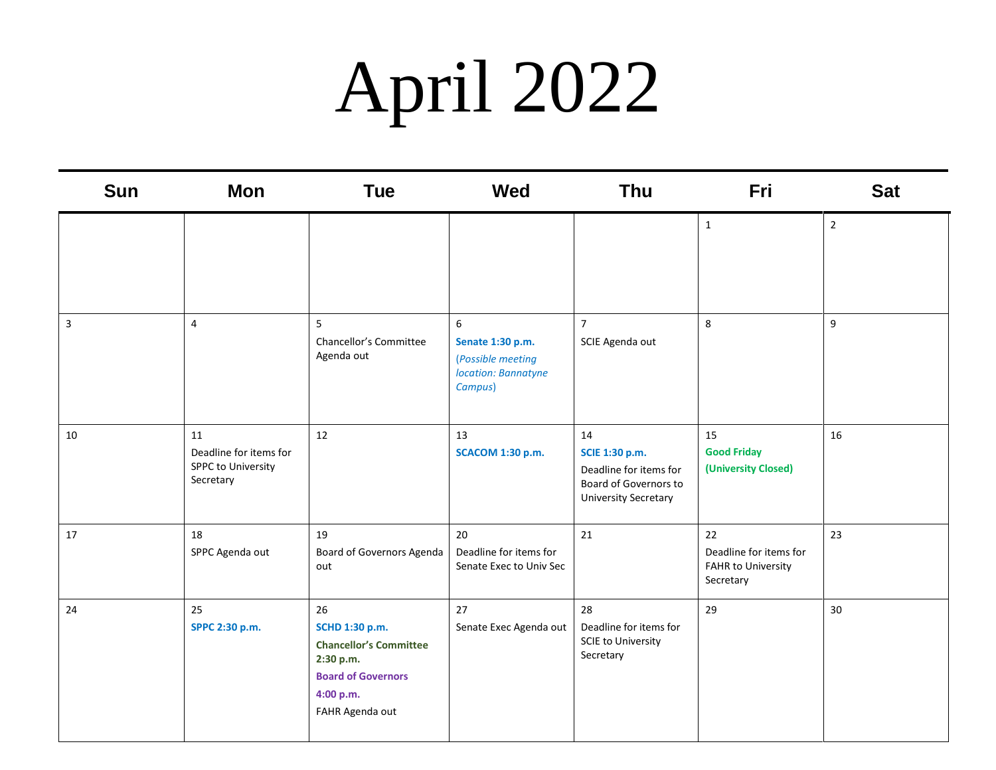# April 2022

| Sun | <b>Mon</b>                                                      | <b>Tue</b>                                                                                                                      | Wed                                                                          | <b>Thu</b>                                                                                                    | Fri                                                             | <b>Sat</b>     |
|-----|-----------------------------------------------------------------|---------------------------------------------------------------------------------------------------------------------------------|------------------------------------------------------------------------------|---------------------------------------------------------------------------------------------------------------|-----------------------------------------------------------------|----------------|
|     |                                                                 |                                                                                                                                 |                                                                              |                                                                                                               | $\mathbf{1}$                                                    | $\overline{2}$ |
| 3   | $\overline{4}$                                                  | 5<br>Chancellor's Committee<br>Agenda out                                                                                       | 6<br>Senate 1:30 p.m.<br>(Possible meeting<br>location: Bannatyne<br>Campus) | $\overline{7}$<br>SCIE Agenda out                                                                             | 8                                                               | 9              |
| 10  | 11<br>Deadline for items for<br>SPPC to University<br>Secretary | 12                                                                                                                              | 13<br><b>SCACOM 1:30 p.m.</b>                                                | 14<br><b>SCIE 1:30 p.m.</b><br>Deadline for items for<br>Board of Governors to<br><b>University Secretary</b> | 15<br><b>Good Friday</b><br>(University Closed)                 | 16             |
| 17  | 18<br>SPPC Agenda out                                           | 19<br>Board of Governors Agenda<br>out                                                                                          | 20<br>Deadline for items for<br>Senate Exec to Univ Sec                      | 21                                                                                                            | 22<br>Deadline for items for<br>FAHR to University<br>Secretary | 23             |
| 24  | 25<br>SPPC 2:30 p.m.                                            | 26<br>SCHD 1:30 p.m.<br><b>Chancellor's Committee</b><br>2:30 p.m.<br><b>Board of Governors</b><br>4:00 p.m.<br>FAHR Agenda out | 27<br>Senate Exec Agenda out                                                 | 28<br>Deadline for items for<br><b>SCIE to University</b><br>Secretary                                        | 29                                                              | 30             |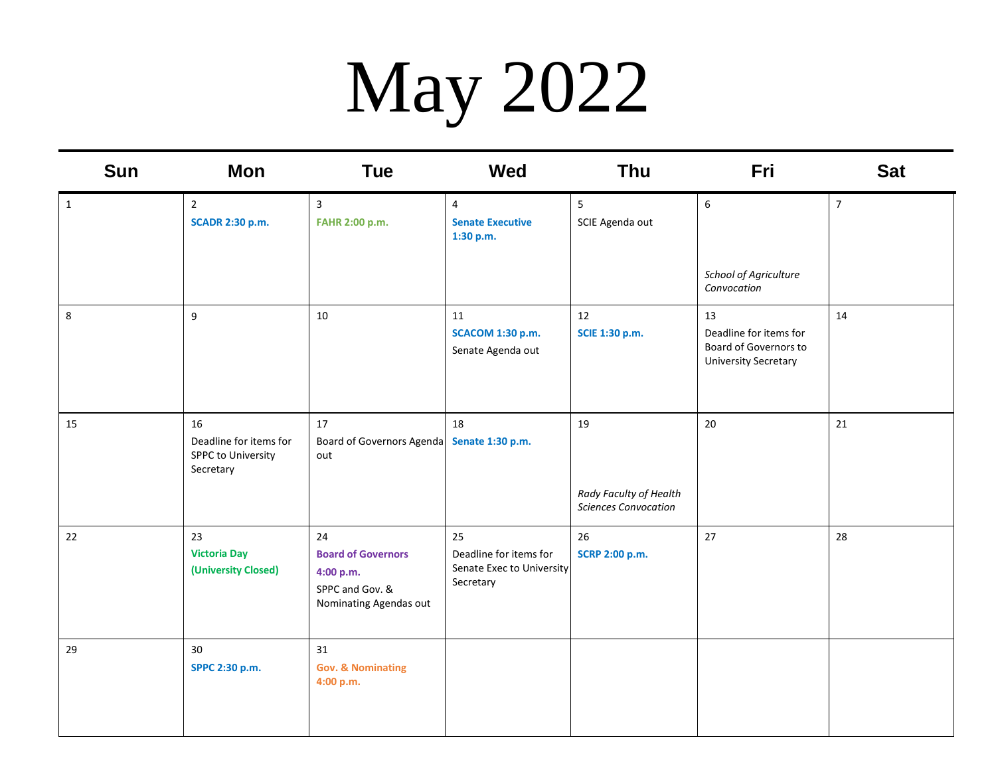# May 2022

| <b>Sun</b>   | <b>Mon</b>                                                      | <b>Tue</b>                                                                                | <b>Wed</b>                                                             | <b>Thu</b>                                                  | Fri                                                                                  | <b>Sat</b>     |
|--------------|-----------------------------------------------------------------|-------------------------------------------------------------------------------------------|------------------------------------------------------------------------|-------------------------------------------------------------|--------------------------------------------------------------------------------------|----------------|
| $\mathbf{1}$ | $\overline{2}$<br><b>SCADR 2:30 p.m.</b>                        | $\overline{\mathbf{3}}$<br>FAHR 2:00 p.m.                                                 | 4<br><b>Senate Executive</b><br>1:30 p.m.                              | $\overline{5}$<br>SCIE Agenda out                           | 6<br>School of Agriculture<br>Convocation                                            | $\overline{7}$ |
| $\,8\,$      | 9                                                               | 10                                                                                        | 11<br><b>SCACOM 1:30 p.m.</b><br>Senate Agenda out                     | 12<br>SCIE 1:30 p.m.                                        | 13<br>Deadline for items for<br>Board of Governors to<br><b>University Secretary</b> | 14             |
| 15           | 16<br>Deadline for items for<br>SPPC to University<br>Secretary | 17<br>Board of Governors Agenda Senate 1:30 p.m.<br>out                                   | 18                                                                     | 19<br>Rady Faculty of Health<br><b>Sciences Convocation</b> | $20\,$                                                                               | 21             |
| 22           | 23<br><b>Victoria Day</b><br>(University Closed)                | 24<br><b>Board of Governors</b><br>4:00 p.m.<br>SPPC and Gov. &<br>Nominating Agendas out | 25<br>Deadline for items for<br>Senate Exec to University<br>Secretary | 26<br><b>SCRP 2:00 p.m.</b>                                 | 27                                                                                   | 28             |
| 29           | 30<br>SPPC 2:30 p.m.                                            | 31<br><b>Gov. &amp; Nominating</b><br>4:00 p.m.                                           |                                                                        |                                                             |                                                                                      |                |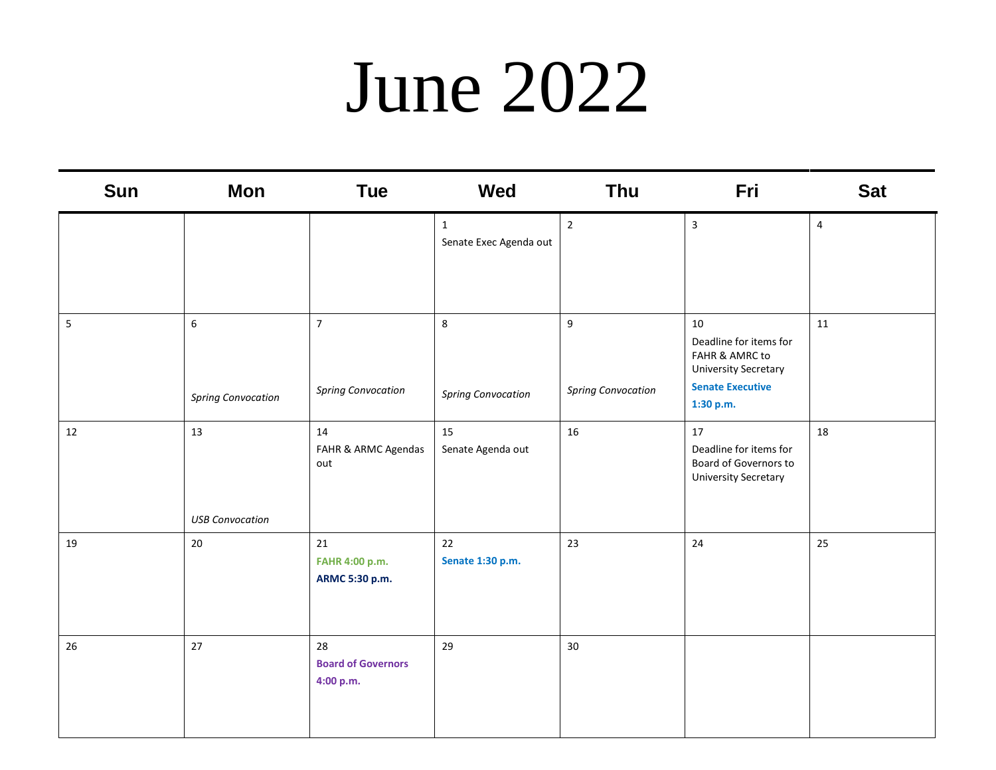#### June 2022

| Sun | <b>Mon</b>                     | Tue                                          | Wed                                    | Thu                                         | Fri                                                                                                                   | <b>Sat</b>     |
|-----|--------------------------------|----------------------------------------------|----------------------------------------|---------------------------------------------|-----------------------------------------------------------------------------------------------------------------------|----------------|
|     |                                |                                              | $\mathbf{1}$<br>Senate Exec Agenda out | $\overline{2}$                              | $\overline{3}$                                                                                                        | $\overline{4}$ |
| 5   | 6<br><b>Spring Convocation</b> | $\overline{7}$<br><b>Spring Convocation</b>  | $\,8\,$<br><b>Spring Convocation</b>   | $\overline{9}$<br><b>Spring Convocation</b> | 10<br>Deadline for items for<br>FAHR & AMRC to<br><b>University Secretary</b><br><b>Senate Executive</b><br>1:30 p.m. | 11             |
| 12  | 13<br><b>USB Convocation</b>   | 14<br>FAHR & ARMC Agendas<br>out             | 15<br>Senate Agenda out                | 16                                          | 17<br>Deadline for items for<br>Board of Governors to<br><b>University Secretary</b>                                  | 18             |
| 19  | 20                             | 21<br>FAHR 4:00 p.m.<br>ARMC 5:30 p.m.       | 22<br>Senate 1:30 p.m.                 | 23                                          | 24                                                                                                                    | 25             |
| 26  | 27                             | 28<br><b>Board of Governors</b><br>4:00 p.m. | 29                                     | 30                                          |                                                                                                                       |                |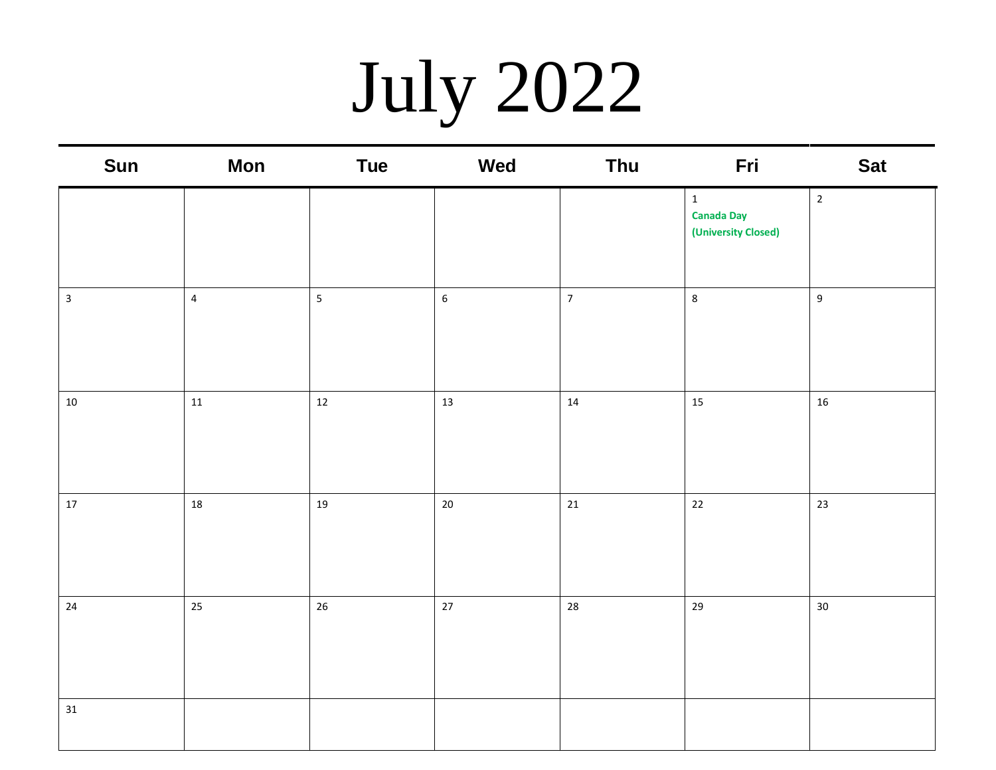# July 2022

| Sun          | <b>Mon</b>     | <b>Tue</b>              | Wed              | Thu            | Fri                                                      | <b>Sat</b>      |
|--------------|----------------|-------------------------|------------------|----------------|----------------------------------------------------------|-----------------|
|              |                |                         |                  |                | $\mathbf{1}$<br><b>Canada Day</b><br>(University Closed) | $\overline{2}$  |
| $\mathbf{3}$ | $\overline{4}$ | $\overline{\mathbf{5}}$ | $\boldsymbol{6}$ | $\overline{7}$ | $\,8\,$                                                  | 9               |
| $10\,$       | $11\,$         | $12\,$                  | 13               | $14\,$         | 15                                                       | $16\,$          |
| $17\,$       | 18             | 19                      | $20\,$           | 21             | 22                                                       | 23              |
| $24\,$       | 25             | $26\,$                  | $27$             | 28             | 29                                                       | 30 <sub>o</sub> |
| 31           |                |                         |                  |                |                                                          |                 |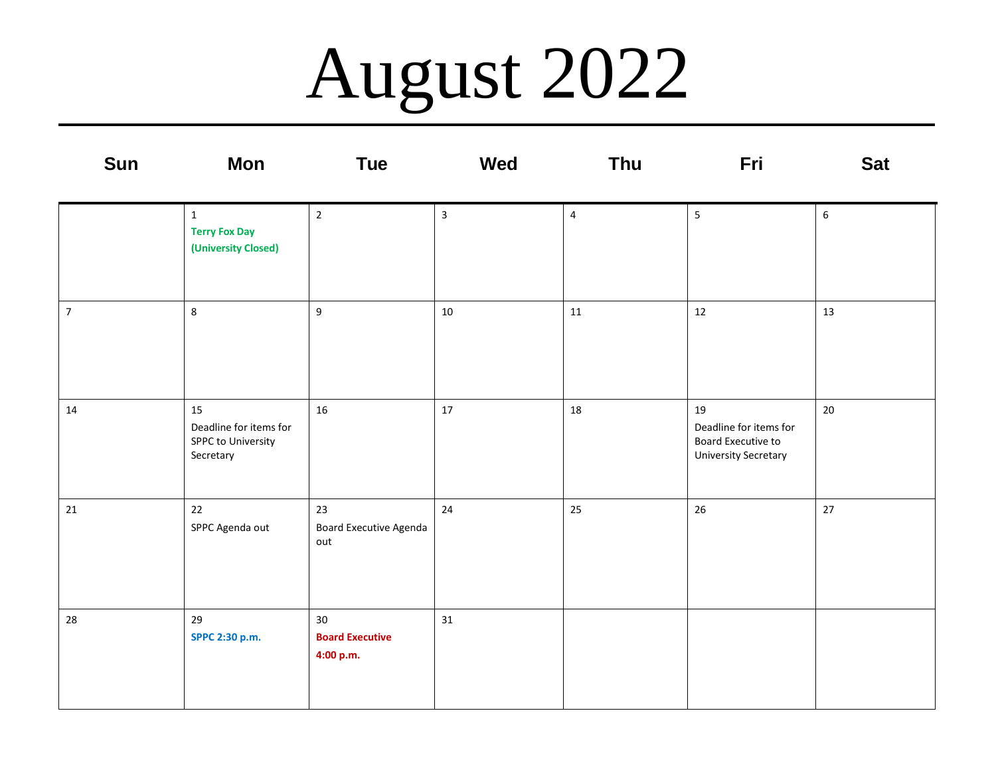## August 2022

| Sun            | <b>Mon</b>                                                      | <b>Tue</b>                                | <b>Wed</b>   | Thu            | Fri                                                                               | <b>Sat</b>  |
|----------------|-----------------------------------------------------------------|-------------------------------------------|--------------|----------------|-----------------------------------------------------------------------------------|-------------|
|                | $\mathbf{1}$<br><b>Terry Fox Day</b><br>(University Closed)     | $\overline{2}$                            | $\mathbf{3}$ | $\overline{4}$ | $\overline{5}$                                                                    | $\,$ 6 $\,$ |
| $\overline{7}$ | 8                                                               | $\boldsymbol{9}$                          | 10           | 11             | 12                                                                                | 13          |
| 14             | 15<br>Deadline for items for<br>SPPC to University<br>Secretary | 16                                        | $17\,$       | $18\,$         | 19<br>Deadline for items for<br>Board Executive to<br><b>University Secretary</b> | 20          |
| 21             | 22<br>SPPC Agenda out                                           | 23<br>Board Executive Agenda<br>out       | 24           | 25             | 26                                                                                | 27          |
| 28             | 29<br>SPPC 2:30 p.m.                                            | 30<br><b>Board Executive</b><br>4:00 p.m. | 31           |                |                                                                                   |             |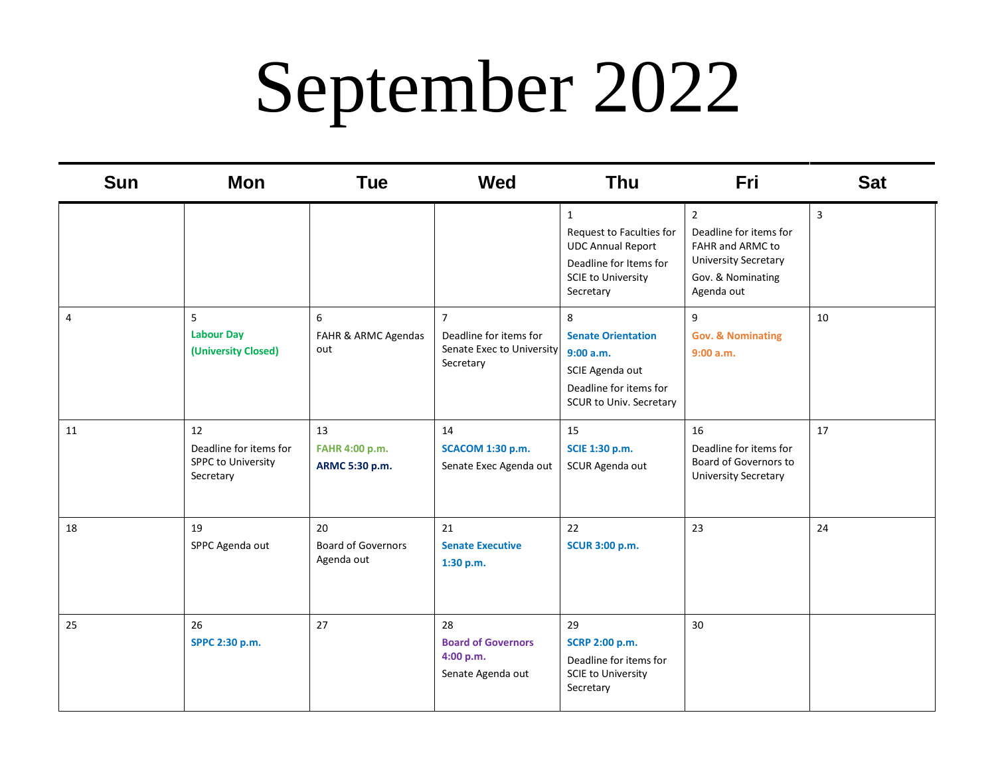## September 2022

| <b>Sun</b>     | Mon                                                                    | <b>Tue</b>                                    | <b>Wed</b>                                                                         | <b>Thu</b>                                                                                                                               | Fri                                                                                                                            | <b>Sat</b> |
|----------------|------------------------------------------------------------------------|-----------------------------------------------|------------------------------------------------------------------------------------|------------------------------------------------------------------------------------------------------------------------------------------|--------------------------------------------------------------------------------------------------------------------------------|------------|
|                |                                                                        |                                               |                                                                                    | $\mathbf{1}$<br>Request to Faculties for<br><b>UDC Annual Report</b><br>Deadline for Items for<br><b>SCIE to University</b><br>Secretary | $\overline{2}$<br>Deadline for items for<br>FAHR and ARMC to<br><b>University Secretary</b><br>Gov. & Nominating<br>Agenda out | 3          |
| $\overline{4}$ | 5<br><b>Labour Day</b><br>(University Closed)                          | 6<br>FAHR & ARMC Agendas<br>out               | $\overline{7}$<br>Deadline for items for<br>Senate Exec to University<br>Secretary | 8<br><b>Senate Orientation</b><br>9:00 a.m.<br>SCIE Agenda out<br>Deadline for items for<br>SCUR to Univ. Secretary                      | 9<br><b>Gov. &amp; Nominating</b><br>9:00 a.m.                                                                                 | 10         |
| 11             | 12<br>Deadline for items for<br><b>SPPC to University</b><br>Secretary | 13<br>FAHR 4:00 p.m.<br>ARMC 5:30 p.m.        | 14<br><b>SCACOM 1:30 p.m.</b><br>Senate Exec Agenda out                            | 15<br>SCIE 1:30 p.m.<br>SCUR Agenda out                                                                                                  | 16<br>Deadline for items for<br>Board of Governors to<br><b>University Secretary</b>                                           | 17         |
| 18             | 19<br>SPPC Agenda out                                                  | 20<br><b>Board of Governors</b><br>Agenda out | 21<br><b>Senate Executive</b><br>1:30 p.m.                                         | 22<br><b>SCUR 3:00 p.m.</b>                                                                                                              | 23                                                                                                                             | 24         |
| 25             | 26<br>SPPC 2:30 p.m.                                                   | 27                                            | 28<br><b>Board of Governors</b><br>4:00 p.m.<br>Senate Agenda out                  | 29<br>SCRP 2:00 p.m.<br>Deadline for items for<br><b>SCIE to University</b><br>Secretary                                                 | 30                                                                                                                             |            |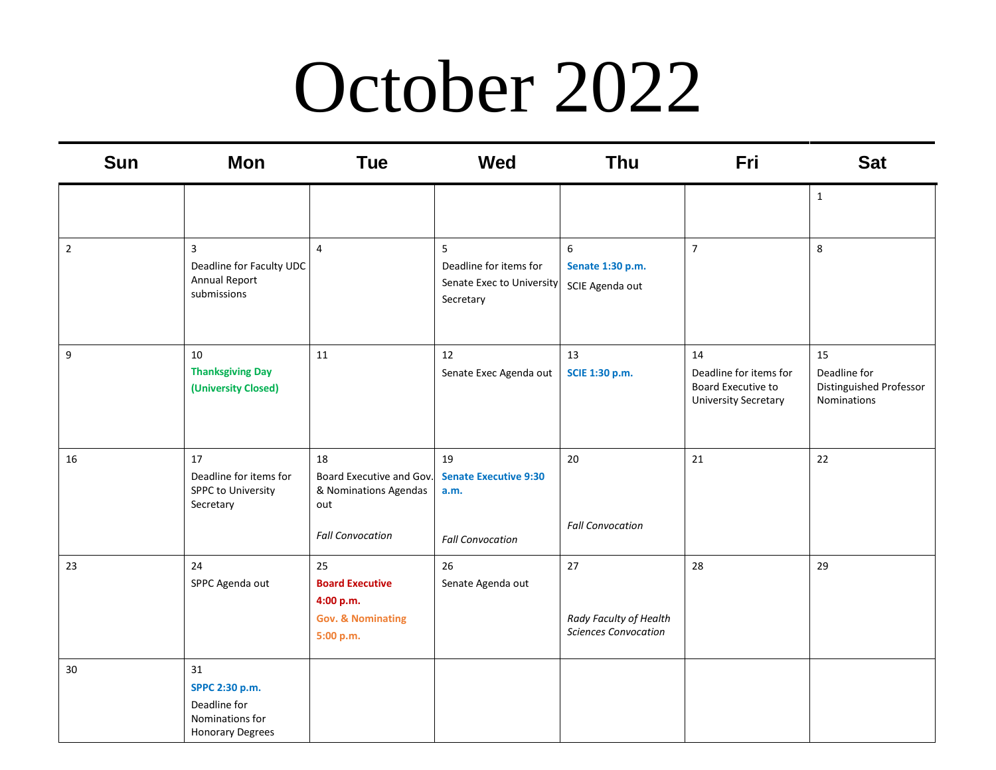### October 2022

| <b>Sun</b>     | <b>Mon</b>                                                                         | <b>Tue</b>                                                                                | <b>Wed</b>                                                            | <b>Thu</b>                                                  | Fri                                                                               | <b>Sat</b>                                                   |
|----------------|------------------------------------------------------------------------------------|-------------------------------------------------------------------------------------------|-----------------------------------------------------------------------|-------------------------------------------------------------|-----------------------------------------------------------------------------------|--------------------------------------------------------------|
|                |                                                                                    |                                                                                           |                                                                       |                                                             |                                                                                   | $\mathbf{1}$                                                 |
| $\overline{2}$ | 3<br>Deadline for Faculty UDC<br>Annual Report<br>submissions                      | $\overline{4}$                                                                            | 5<br>Deadline for items for<br>Senate Exec to University<br>Secretary | 6<br>Senate 1:30 p.m.<br>SCIE Agenda out                    | $\overline{7}$                                                                    | 8                                                            |
| 9              | 10<br><b>Thanksgiving Day</b><br>(University Closed)                               | 11                                                                                        | 12<br>Senate Exec Agenda out                                          | 13<br>SCIE 1:30 p.m.                                        | 14<br>Deadline for items for<br>Board Executive to<br><b>University Secretary</b> | 15<br>Deadline for<br>Distinguished Professor<br>Nominations |
| 16             | 17<br>Deadline for items for<br>SPPC to University<br>Secretary                    | 18<br>Board Executive and Gov.<br>& Nominations Agendas<br>out<br><b>Fall Convocation</b> | 19<br><b>Senate Executive 9:30</b><br>a.m.<br><b>Fall Convocation</b> | 20<br><b>Fall Convocation</b>                               | 21                                                                                | 22                                                           |
| 23             | 24<br>SPPC Agenda out                                                              | 25<br><b>Board Executive</b><br>4:00 p.m.<br><b>Gov. &amp; Nominating</b><br>5:00 p.m.    | 26<br>Senate Agenda out                                               | 27<br>Rady Faculty of Health<br><b>Sciences Convocation</b> | 28                                                                                | 29                                                           |
| 30             | 31<br>SPPC 2:30 p.m.<br>Deadline for<br>Nominations for<br><b>Honorary Degrees</b> |                                                                                           |                                                                       |                                                             |                                                                                   |                                                              |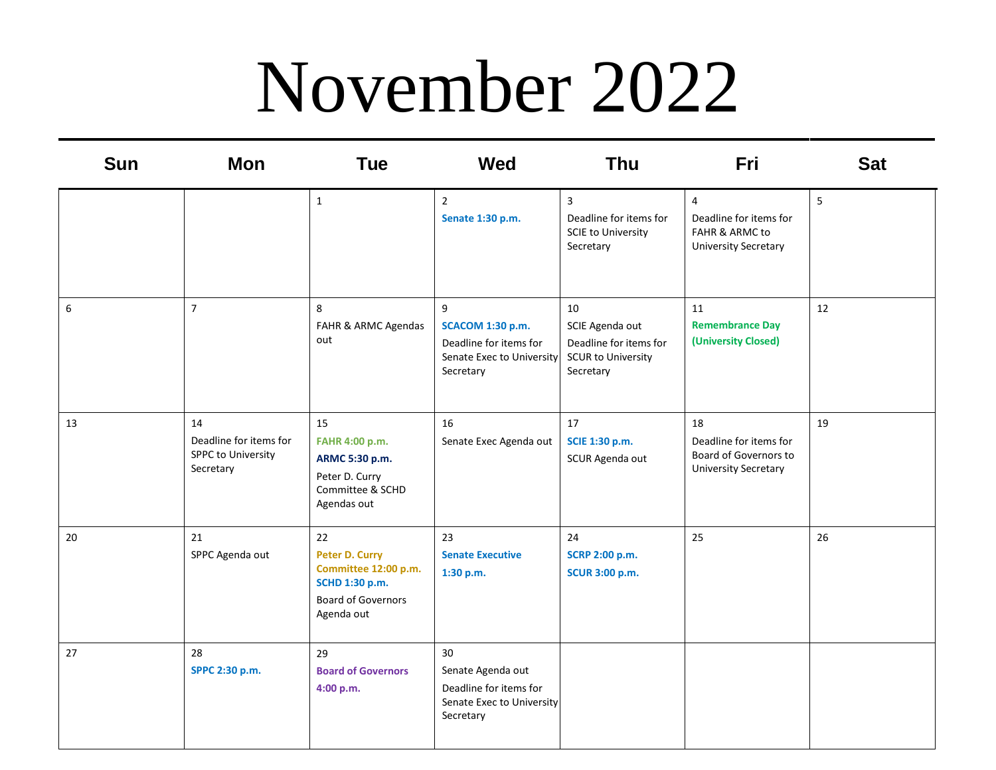### November 2022

| <b>Sun</b> | <b>Mon</b>                                                             | <b>Tue</b>                                                                                                | <b>Wed</b>                                                                                       | Thu                                                                                       | Fri                                                                                       | <b>Sat</b> |
|------------|------------------------------------------------------------------------|-----------------------------------------------------------------------------------------------------------|--------------------------------------------------------------------------------------------------|-------------------------------------------------------------------------------------------|-------------------------------------------------------------------------------------------|------------|
|            |                                                                        | $\mathbf{1}$                                                                                              | $\overline{2}$<br>Senate 1:30 p.m.                                                               | 3<br>Deadline for items for<br><b>SCIE to University</b><br>Secretary                     | $\overline{4}$<br>Deadline for items for<br>FAHR & ARMC to<br><b>University Secretary</b> | 5          |
| 6          | $\overline{7}$                                                         | 8<br>FAHR & ARMC Agendas<br>out                                                                           | 9<br><b>SCACOM 1:30 p.m.</b><br>Deadline for items for<br>Senate Exec to University<br>Secretary | 10<br>SCIE Agenda out<br>Deadline for items for<br><b>SCUR to University</b><br>Secretary | 11<br><b>Remembrance Day</b><br>(University Closed)                                       | 12         |
| 13         | 14<br>Deadline for items for<br><b>SPPC to University</b><br>Secretary | 15<br>FAHR 4:00 p.m.<br>ARMC 5:30 p.m.<br>Peter D. Curry<br>Committee & SCHD<br>Agendas out               | 16<br>Senate Exec Agenda out                                                                     | 17<br>SCIE 1:30 p.m.<br>SCUR Agenda out                                                   | 18<br>Deadline for items for<br>Board of Governors to<br><b>University Secretary</b>      | 19         |
| 20         | 21<br>SPPC Agenda out                                                  | 22<br>Peter D. Curry<br>Committee 12:00 p.m.<br>SCHD 1:30 p.m.<br><b>Board of Governors</b><br>Agenda out | 23<br><b>Senate Executive</b><br>1:30 p.m.                                                       | 24<br><b>SCRP 2:00 p.m.</b><br><b>SCUR 3:00 p.m.</b>                                      | 25                                                                                        | 26         |
| 27         | 28<br>SPPC 2:30 p.m.                                                   | 29<br><b>Board of Governors</b><br>4:00 p.m.                                                              | 30<br>Senate Agenda out<br>Deadline for items for<br>Senate Exec to University<br>Secretary      |                                                                                           |                                                                                           |            |